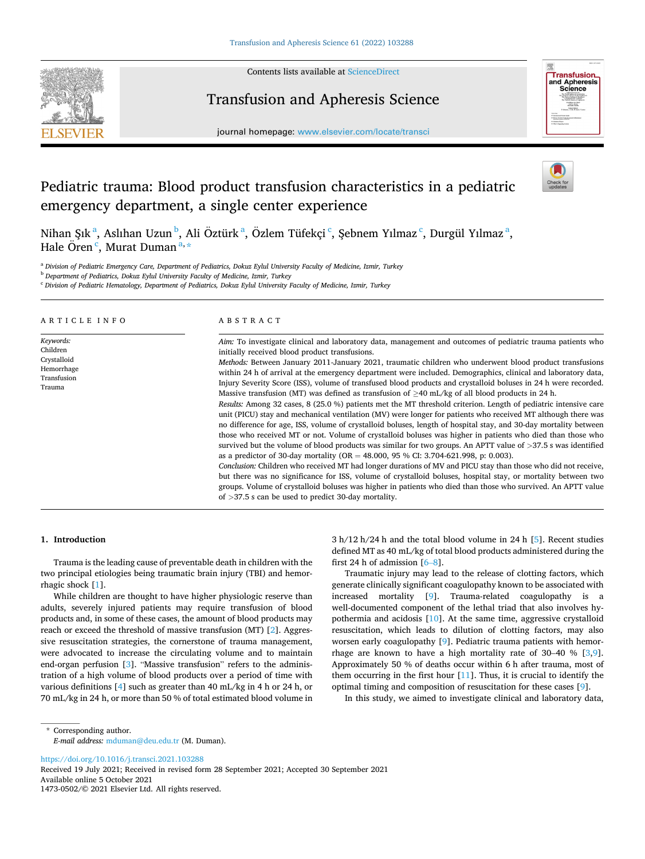

Contents lists available at [ScienceDirect](www.sciencedirect.com/science/journal/14730502)

# Transfusion and Apheresis Science



journal homepage: [www.elsevier.com/locate/transci](https://www.elsevier.com/locate/transci) 

# Pediatric trauma: Blood product transfusion characteristics in a pediatric emergency department, a single center experience



Nihan Şık<sup>a</sup>, Aslıhan Uzun<sup>b</sup>, Ali Öztürk<sup>a</sup>, Özlem Tüfekçi<sup>c</sup>, Şebnem Yılmaz<sup>c</sup>, Durgül Yılmaz<sup>a</sup>, Hale Ören<sup>c</sup>, Murat Duman<sup>a,</sup>\*

<sup>a</sup> *Division of Pediatric Emergency Care, Department of Pediatrics, Dokuz Eylul University Faculty of Medicine, Izmir, Turkey* 

<sup>b</sup> *Department of Pediatrics, Dokuz Eylul University Faculty of Medicine, Izmir, Turkey* 

<sup>c</sup> *Division of Pediatric Hematology, Department of Pediatrics, Dokuz Eylul University Faculty of Medicine, Izmir, Turkey* 

| ARTICLE INFO                                                                | ABSTRACT                                                                                                                                                                                                                                                                                                                                                                                                                                                                                                                                                                                                                                                                                                                                                                                                                                                                                                                                                                                                                                                                                                                                                                                                                                                                                                                                                                                                                                                                                                                                                                                                                                                                                                   |
|-----------------------------------------------------------------------------|------------------------------------------------------------------------------------------------------------------------------------------------------------------------------------------------------------------------------------------------------------------------------------------------------------------------------------------------------------------------------------------------------------------------------------------------------------------------------------------------------------------------------------------------------------------------------------------------------------------------------------------------------------------------------------------------------------------------------------------------------------------------------------------------------------------------------------------------------------------------------------------------------------------------------------------------------------------------------------------------------------------------------------------------------------------------------------------------------------------------------------------------------------------------------------------------------------------------------------------------------------------------------------------------------------------------------------------------------------------------------------------------------------------------------------------------------------------------------------------------------------------------------------------------------------------------------------------------------------------------------------------------------------------------------------------------------------|
| Keywords:<br>Children<br>Crystalloid<br>Hemorrhage<br>Transfusion<br>Trauma | Aim: To investigate clinical and laboratory data, management and outcomes of pediatric trauma patients who<br>initially received blood product transfusions.<br>Methods: Between January 2011-January 2021, traumatic children who underwent blood product transfusions<br>within 24 h of arrival at the emergency department were included. Demographics, clinical and laboratory data,<br>Injury Severity Score (ISS), volume of transfused blood products and crystalloid boluses in 24 h were recorded.<br>Massive transfusion (MT) was defined as transfusion of $>40$ mL/kg of all blood products in 24 h.<br>Results: Among 32 cases, 8 (25.0 %) patients met the MT threshold criterion. Length of pediatric intensive care<br>unit (PICU) stay and mechanical ventilation (MV) were longer for patients who received MT although there was<br>no difference for age, ISS, volume of crystalloid boluses, length of hospital stay, and 30-day mortality between<br>those who received MT or not. Volume of crystalloid boluses was higher in patients who died than those who<br>survived but the volume of blood products was similar for two groups. An APTT value of $>37.5$ s was identified<br>as a predictor of 30-day mortality (OR = 48.000, 95 % CI: 3.704-621.998, p: 0.003).<br>Conclusion: Children who received MT had longer durations of MV and PICU stay than those who did not receive,<br>but there was no significance for ISS, volume of crystalloid boluses, hospital stay, or mortality between two<br>groups. Volume of crystalloid boluses was higher in patients who died than those who survived. An APTT value<br>of $>37.5$ s can be used to predict 30-day mortality. |

## **1. Introduction**

Trauma is the leading cause of preventable death in children with the two principal etiologies being traumatic brain injury (TBI) and hemorrhagic shock [[1](#page-5-0)].

While children are thought to have higher physiologic reserve than adults, severely injured patients may require transfusion of blood products and, in some of these cases, the amount of blood products may reach or exceed the threshold of massive transfusion (MT) [[2](#page-5-0)]. Aggressive resuscitation strategies, the cornerstone of trauma management, were advocated to increase the circulating volume and to maintain end-organ perfusion [\[3\]](#page-5-0). "Massive transfusion" refers to the administration of a high volume of blood products over a period of time with various definitions [[4](#page-5-0)] such as greater than 40 mL/kg in 4 h or 24 h, or 70 mL/kg in 24 h, or more than 50 % of total estimated blood volume in 3 h/12 h/24 h and the total blood volume in 24 h [\[5\]](#page-5-0). Recent studies defined MT as 40 mL/kg of total blood products administered during the first 24 h of admission  $[6-8]$  $[6-8]$ .

Traumatic injury may lead to the release of clotting factors, which generate clinically significant coagulopathy known to be associated with increased mortality [[9](#page-5-0)]. Trauma-related coagulopathy is a well-documented component of the lethal triad that also involves hypothermia and acidosis [\[10](#page-5-0)]. At the same time, aggressive crystalloid resuscitation, which leads to dilution of clotting factors, may also worsen early coagulopathy [\[9\]](#page-5-0). Pediatric trauma patients with hemor-rhage are known to have a high mortality rate of [3](#page-5-0)0–40 %  $[3,9]$  $[3,9]$  $[3,9]$ . Approximately 50 % of deaths occur within 6 h after trauma, most of them occurring in the first hour [[11\]](#page-5-0). Thus, it is crucial to identify the optimal timing and composition of resuscitation for these cases [[9](#page-5-0)].

In this study, we aimed to investigate clinical and laboratory data,

\* Corresponding author. *E-mail address:* [mduman@deu.edu.tr](mailto:mduman@deu.edu.tr) (M. Duman).

<https://doi.org/10.1016/j.transci.2021.103288>

Available online 5 October 2021 1473-0502/© 2021 Elsevier Ltd. All rights reserved. Received 19 July 2021; Received in revised form 28 September 2021; Accepted 30 September 2021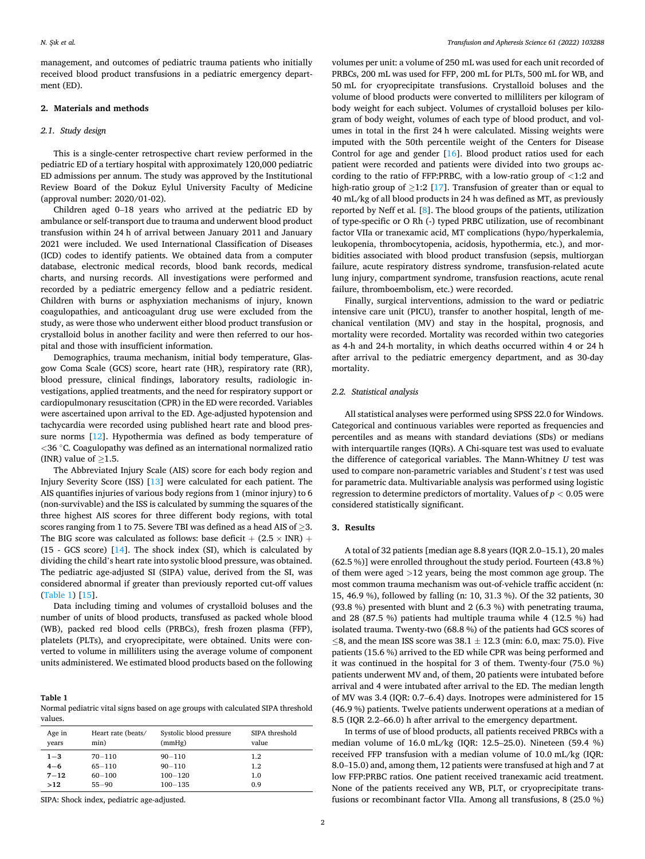management, and outcomes of pediatric trauma patients who initially received blood product transfusions in a pediatric emergency department (ED).

## **2. Materials and methods**

### *2.1. Study design*

This is a single-center retrospective chart review performed in the pediatric ED of a tertiary hospital with approximately 120,000 pediatric ED admissions per annum. The study was approved by the Institutional Review Board of the Dokuz Eylul University Faculty of Medicine (approval number: 2020/01-02).

Children aged 0–18 years who arrived at the pediatric ED by ambulance or self-transport due to trauma and underwent blood product transfusion within 24 h of arrival between January 2011 and January 2021 were included. We used International Classification of Diseases (ICD) codes to identify patients. We obtained data from a computer database, electronic medical records, blood bank records, medical charts, and nursing records. All investigations were performed and recorded by a pediatric emergency fellow and a pediatric resident. Children with burns or asphyxiation mechanisms of injury, known coagulopathies, and anticoagulant drug use were excluded from the study, as were those who underwent either blood product transfusion or crystalloid bolus in another facility and were then referred to our hospital and those with insufficient information.

Demographics, trauma mechanism, initial body temperature, Glasgow Coma Scale (GCS) score, heart rate (HR), respiratory rate (RR), blood pressure, clinical findings, laboratory results, radiologic investigations, applied treatments, and the need for respiratory support or cardiopulmonary resuscitation (CPR) in the ED were recorded. Variables were ascertained upon arrival to the ED. Age-adjusted hypotension and tachycardia were recorded using published heart rate and blood pressure norms [\[12](#page-5-0)]. Hypothermia was defined as body temperature of *<*36 ◦C. Coagulopathy was defined as an international normalized ratio (INR) value of  $>1.5$ .

The Abbreviated Injury Scale (AIS) score for each body region and Injury Severity Score (ISS) [[13\]](#page-5-0) were calculated for each patient. The AIS quantifies injuries of various body regions from 1 (minor injury) to 6 (non-survivable) and the ISS is calculated by summing the squares of the three highest AIS scores for three different body regions, with total scores ranging from 1 to 75. Severe TBI was defined as a head AIS of >3. The BIG score was calculated as follows: base deficit  $+$  (2.5  $\times$  INR)  $+$ (15 - GCS score) [[14\]](#page-5-0). The shock index (SI), which is calculated by dividing the child's heart rate into systolic blood pressure, was obtained. The pediatric age-adjusted SI (SIPA) value, derived from the SI, was considered abnormal if greater than previously reported cut-off values (Table 1) [[15\]](#page-5-0).

Data including timing and volumes of crystalloid boluses and the number of units of blood products, transfused as packed whole blood (WB), packed red blood cells (PRBCs), fresh frozen plasma (FFP), platelets (PLTs), and cryoprecipitate, were obtained. Units were converted to volume in milliliters using the average volume of component units administered. We estimated blood products based on the following

#### **Table 1**

| Normal pediatric vital signs based on age groups with calculated SIPA threshold |  |
|---------------------------------------------------------------------------------|--|
| values.                                                                         |  |

| Age in   | Heart rate (beats/ | Systolic blood pressure | SIPA threshold |
|----------|--------------------|-------------------------|----------------|
| years    | min)               | (mmHg)                  | value          |
| $1 - 3$  | $70 - 110$         | $90 - 110$              | 1.2            |
| $4 - 6$  | $65 - 110$         | $90 - 110$              | 1.2            |
| $7 - 12$ | $60 - 100$         | $100 - 120$             | 1.0            |
| >12      | $55 - 90$          | $100 - 135$             | 0.9            |

SIPA: Shock index, pediatric age-adjusted.

volumes per unit: a volume of 250 mL was used for each unit recorded of PRBCs, 200 mL was used for FFP, 200 mL for PLTs, 500 mL for WB, and 50 mL for cryoprecipitate transfusions. Crystalloid boluses and the volume of blood products were converted to milliliters per kilogram of body weight for each subject. Volumes of crystalloid boluses per kilogram of body weight, volumes of each type of blood product, and volumes in total in the first 24 h were calculated. Missing weights were imputed with the 50th percentile weight of the Centers for Disease Control for age and gender [[16\]](#page-5-0). Blood product ratios used for each patient were recorded and patients were divided into two groups according to the ratio of FFP:PRBC, with a low-ratio group of *<*1:2 and high-ratio group of  $\geq$ 1:2 [[17\]](#page-5-0). Transfusion of greater than or equal to 40 mL/kg of all blood products in 24 h was defined as MT, as previously reported by Neff et al. [\[8\]](#page-5-0). The blood groups of the patients, utilization of type-specific or O Rh (-) typed PRBC utilization, use of recombinant factor VIIa or tranexamic acid, MT complications (hypo/hyperkalemia, leukopenia, thrombocytopenia, acidosis, hypothermia, etc.), and morbidities associated with blood product transfusion (sepsis, multiorgan failure, acute respiratory distress syndrome, transfusion-related acute lung injury, compartment syndrome, transfusion reactions, acute renal failure, thromboembolism, etc.) were recorded.

Finally, surgical interventions, admission to the ward or pediatric intensive care unit (PICU), transfer to another hospital, length of mechanical ventilation (MV) and stay in the hospital, prognosis, and mortality were recorded. Mortality was recorded within two categories as 4-h and 24-h mortality, in which deaths occurred within 4 or 24 h after arrival to the pediatric emergency department, and as 30-day mortality.

### *2.2. Statistical analysis*

All statistical analyses were performed using SPSS 22.0 for Windows. Categorical and continuous variables were reported as frequencies and percentiles and as means with standard deviations (SDs) or medians with interquartile ranges (IQRs). A Chi-square test was used to evaluate the difference of categorical variables. The Mann-Whitney *U* test was used to compare non-parametric variables and Student's *t* test was used for parametric data. Multivariable analysis was performed using logistic regression to determine predictors of mortality. Values of *p <* 0.05 were considered statistically significant.

## **3. Results**

A total of 32 patients [median age 8.8 years (IQR 2.0–15.1), 20 males (62.5 %)] were enrolled throughout the study period. Fourteen (43.8 %) of them were aged *>*12 years, being the most common age group. The most common trauma mechanism was out-of-vehicle traffic accident (n: 15, 46.9 %), followed by falling (n: 10, 31.3 %). Of the 32 patients, 30 (93.8 %) presented with blunt and 2 (6.3 %) with penetrating trauma, and 28 (87.5 %) patients had multiple trauma while 4 (12.5 %) had isolated trauma. Twenty-two (68.8 %) of the patients had GCS scores of  $\leq$ 8, and the mean ISS score was 38.1  $\pm$  12.3 (min: 6.0, max: 75.0). Five patients (15.6 %) arrived to the ED while CPR was being performed and it was continued in the hospital for 3 of them. Twenty-four (75.0 %) patients underwent MV and, of them, 20 patients were intubated before arrival and 4 were intubated after arrival to the ED. The median length of MV was 3.4 (IQR: 0.7–6.4) days. Inotropes were administered for 15 (46.9 %) patients. Twelve patients underwent operations at a median of 8.5 (IQR 2.2–66.0) h after arrival to the emergency department.

In terms of use of blood products, all patients received PRBCs with a median volume of 16.0 mL/kg (IQR: 12.5–25.0). Nineteen (59.4 %) received FFP transfusion with a median volume of 10.0 mL/kg (IQR: 8.0–15.0) and, among them, 12 patients were transfused at high and 7 at low FFP:PRBC ratios. One patient received tranexamic acid treatment. None of the patients received any WB, PLT, or cryoprecipitate transfusions or recombinant factor VIIa. Among all transfusions, 8 (25.0 %)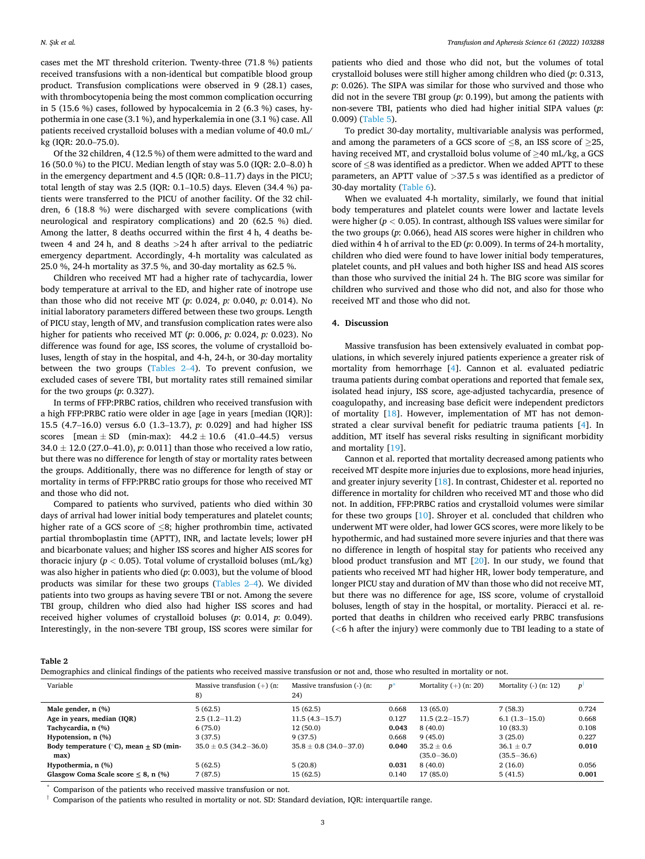cases met the MT threshold criterion. Twenty-three (71.8 %) patients received transfusions with a non-identical but compatible blood group product. Transfusion complications were observed in 9 (28.1) cases, with thrombocytopenia being the most common complication occurring in 5 (15.6 %) cases, followed by hypocalcemia in 2 (6.3 %) cases, hypothermia in one case (3.1 %), and hyperkalemia in one (3.1 %) case. All patients received crystalloid boluses with a median volume of 40.0 mL/ kg (IQR: 20.0–75.0).

Of the 32 children, 4 (12.5 %) of them were admitted to the ward and 16 (50.0 %) to the PICU. Median length of stay was 5.0 (IQR: 2.0–8.0) h in the emergency department and 4.5 (IQR: 0.8–11.7) days in the PICU; total length of stay was 2.5 (IQR: 0.1–10.5) days. Eleven (34.4 %) patients were transferred to the PICU of another facility. Of the 32 children, 6 (18.8 %) were discharged with severe complications (with neurological and respiratory complications) and 20 (62.5 %) died. Among the latter, 8 deaths occurred within the first 4 h, 4 deaths between 4 and 24 h, and 8 deaths *>*24 h after arrival to the pediatric emergency department. Accordingly, 4-h mortality was calculated as 25.0 %, 24-h mortality as 37.5 %, and 30-day mortality as 62.5 %.

Children who received MT had a higher rate of tachycardia, lower body temperature at arrival to the ED, and higher rate of inotrope use than those who did not receive MT (*p*: 0.024, *p:* 0.040, *p:* 0.014). No initial laboratory parameters differed between these two groups. Length of PICU stay, length of MV, and transfusion complication rates were also higher for patients who received MT (*p*: 0.006, *p:* 0.024, *p:* 0.023). No difference was found for age, ISS scores, the volume of crystalloid boluses, length of stay in the hospital, and 4-h, 24-h, or 30-day mortality between the two groups (Tables 2–4). To prevent confusion, we excluded cases of severe TBI, but mortality rates still remained similar for the two groups (*p*: 0.327).

In terms of FFP:PRBC ratios, children who received transfusion with a high FFP:PRBC ratio were older in age [age in years [median (IQR)]: 15.5 (4.7–16.0) versus 6.0 (1.3–13.7), *p*: 0.029] and had higher ISS scores  $[mean \pm SD$  (min-max):  $44.2 \pm 10.6$  (41.0–44.5) versus 34.0 ± 12.0 (27.0–41.0), *p*: 0.011] than those who received a low ratio, but there was no difference for length of stay or mortality rates between the groups. Additionally, there was no difference for length of stay or mortality in terms of FFP:PRBC ratio groups for those who received MT and those who did not.

Compared to patients who survived, patients who died within 30 days of arrival had lower initial body temperatures and platelet counts; higher rate of a GCS score of ≤8; higher prothrombin time, activated partial thromboplastin time (APTT), INR, and lactate levels; lower pH and bicarbonate values; and higher ISS scores and higher AIS scores for thoracic injury ( $p < 0.05$ ). Total volume of crystalloid boluses (mL/kg) was also higher in patients who died (*p*: 0.003), but the volume of blood products was similar for these two groups (Tables 2–4). We divided patients into two groups as having severe TBI or not. Among the severe TBI group, children who died also had higher ISS scores and had received higher volumes of crystalloid boluses (*p*: 0.014, *p*: 0.049). Interestingly, in the non-severe TBI group, ISS scores were similar for

patients who died and those who did not, but the volumes of total crystalloid boluses were still higher among children who died (*p*: 0.313, *p*: 0.026). The SIPA was similar for those who survived and those who did not in the severe TBI group (*p*: 0.199), but among the patients with non-severe TBI, patients who died had higher initial SIPA values (*p*: 0.009) [\(Table 5\)](#page-4-0).

To predict 30-day mortality, multivariable analysis was performed, and among the parameters of a GCS score of ≤8, an ISS score of ≥25, having received MT, and crystalloid bolus volume of  $\geq$ 40 mL/kg, a GCS score of ≤8 was identified as a predictor. When we added APTT to these parameters, an APTT value of *>*37.5 s was identified as a predictor of 30-day mortality [\(Table 6\)](#page-4-0).

When we evaluated 4-h mortality, similarly, we found that initial body temperatures and platelet counts were lower and lactate levels were higher (*p <* 0.05). In contrast, although ISS values were similar for the two groups (*p*: 0.066), head AIS scores were higher in children who died within 4 h of arrival to the ED (*p*: 0.009). In terms of 24-h mortality, children who died were found to have lower initial body temperatures, platelet counts, and pH values and both higher ISS and head AIS scores than those who survived the initial 24 h. The BIG score was similar for children who survived and those who did not, and also for those who received MT and those who did not.

# **4. Discussion**

Massive transfusion has been extensively evaluated in combat populations, in which severely injured patients experience a greater risk of mortality from hemorrhage [\[4\]](#page-5-0). Cannon et al. evaluated pediatric trauma patients during combat operations and reported that female sex, isolated head injury, ISS score, age-adjusted tachycardia, presence of coagulopathy, and increasing base deficit were independent predictors of mortality [\[18](#page-5-0)]. However, implementation of MT has not demonstrated a clear survival benefit for pediatric trauma patients [[4](#page-5-0)]. In addition, MT itself has several risks resulting in significant morbidity and mortality [[19\]](#page-5-0).

Cannon et al. reported that mortality decreased among patients who received MT despite more injuries due to explosions, more head injuries, and greater injury severity [[18](#page-5-0)]. In contrast, Chidester et al. reported no difference in mortality for children who received MT and those who did not. In addition, FFP:PRBC ratios and crystalloid volumes were similar for these two groups [[10](#page-5-0)]. Shroyer et al. concluded that children who underwent MT were older, had lower GCS scores, were more likely to be hypothermic, and had sustained more severe injuries and that there was no difference in length of hospital stay for patients who received any blood product transfusion and MT [[20\]](#page-5-0). In our study, we found that patients who received MT had higher HR, lower body temperature, and longer PICU stay and duration of MV than those who did not receive MT, but there was no difference for age, ISS score, volume of crystalloid boluses, length of stay in the hospital, or mortality. Pieracci et al. reported that deaths in children who received early PRBC transfusions (*<*6 h after the injury) were commonly due to TBI leading to a state of

**Table 2** 

| Demographics and clinical findings of the patients who received massive transfusion or not and, those who resulted in mortality or not, |  |
|-----------------------------------------------------------------------------------------------------------------------------------------|--|
|                                                                                                                                         |  |
|                                                                                                                                         |  |
|                                                                                                                                         |  |
|                                                                                                                                         |  |

| Variable                                         | Massive transfusion $(+)$ (n:<br>8) | Massive transfusion (-) (n:<br>24) | $D^*$ | Mortality $(+)$ (n: 20) | Mortality $(-)$ $(n: 12)$ | $\mathbf{D}$ |
|--------------------------------------------------|-------------------------------------|------------------------------------|-------|-------------------------|---------------------------|--------------|
| Male gender, n (%)                               | 5(62.5)                             | 15(62.5)                           | 0.668 | 13 (65.0)               | 7(58.3)                   | 0.724        |
| Age in years, median (IQR)                       | $2.5(1.2-11.2)$                     | $11.5(4.3-15.7)$                   | 0.127 | $11.5(2.2-15.7)$        | $6.1(1.3-15.0)$           | 0.668        |
| Tachycardia, n (%)                               | 6(75.0)                             | 12(50.0)                           | 0.043 | 8(40.0)                 | 10(83.3)                  | 0.108        |
| Hypotension, n (%)                               | 3(37.5)                             | 9(37.5)                            | 0.668 | 9(45.0)                 | 3(25.0)                   | 0.227        |
| Body temperature ( $\degree$ C), mean + SD (min- | $35.0 \pm 0.5$ (34.2-36.0)          | $35.8 \pm 0.8$ (34.0-37.0)         | 0.040 | $35.2 \pm 0.6$          | $36.1 \pm 0.7$            | 0.010        |
| max)                                             |                                     |                                    |       | $(35.0 - 36.0)$         | $(35.5 - 36.6)$           |              |
| Hypothermia, n (%)                               | 5(62.5)                             | 5(20.8)                            | 0.031 | 8(40.0)                 | 2(16.0)                   | 0.056        |
| Glasgow Coma Scale score $\leq 8$ , n (%)        | 7(87.5)                             | 15(62.5)                           | 0.140 | 17 (85.0)               | 5(41.5)                   | 0.001        |

Comparison of the patients who received massive transfusion or not.

 $\dagger$  Comparison of the patients who resulted in mortality or not. SD: Standard deviation, IQR: interquartile range.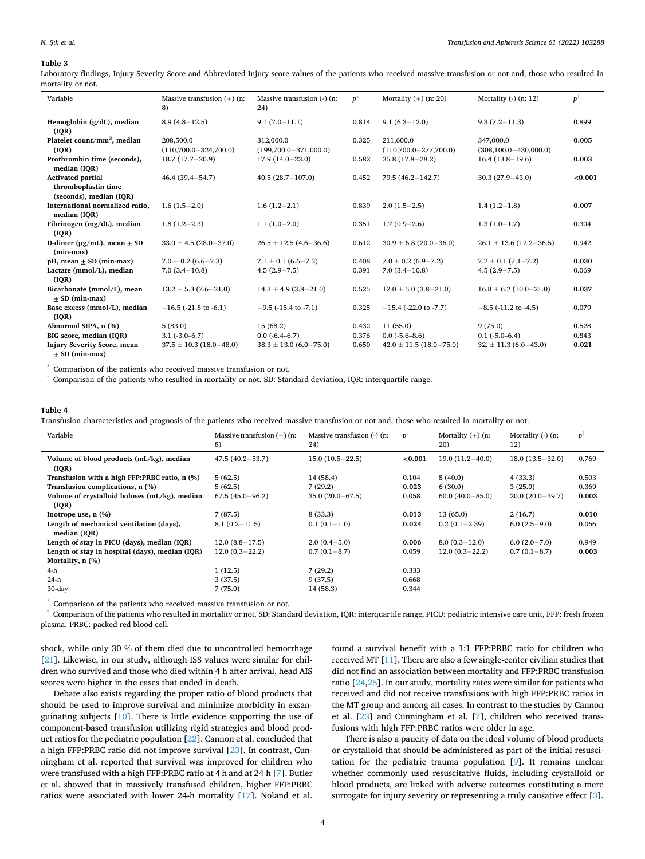#### **Table 3**

Laboratory findings, Injury Severity Score and Abbreviated Injury score values of the patients who received massive transfusion or not and, those who resulted in mortality or not.

| Variable                                               | Massive transfusion $(+)$ (n:<br>8)    | Massive transfusion (-) (n:<br>24)     | $p^*$ | Mortality $(+)$ (n: 20)                | Mortality $(-)$ $(n; 12)$                | $p^{\dagger}$ |
|--------------------------------------------------------|----------------------------------------|----------------------------------------|-------|----------------------------------------|------------------------------------------|---------------|
| Hemoglobin $(g/dL)$ , median<br>(IOR)                  | $8.9(4.8-12.5)$                        | $9.1(7.0-11.1)$                        | 0.814 | $9.1(6.3-12.0)$                        | $9.3(7.2 - 11.3)$                        | 0.899         |
| Platelet count/mm <sup>3</sup> , median<br>(IOR)       | 208,500.0<br>$(110,700.0 - 324,700.0)$ | 312,000.0<br>$(199,700.0 - 371,000.0)$ | 0.325 | 211,600.0<br>$(110,700.0 - 277,700.0)$ | 347,000.0<br>$(308, 100.0 - 430, 000.0)$ | 0.005         |
| Prothrombin time (seconds),<br>median (IOR)            | $18.7(17.7-20.9)$                      | $17.9(14.0-23.0)$                      | 0.582 | $35.8(17.8-28.2)$                      | $16.4(13.8-19.6)$                        | 0.003         |
| <b>Activated partial</b>                               | $46.4(39.4 - 54.7)$                    | $40.5(28.7-107.0)$                     | 0.452 | $79.5(46.2 - 142.7)$                   | $30.3(27.9 - 43.0)$                      | < 0.001       |
| thromboplastin time<br>(seconds), median (IOR)         |                                        |                                        |       |                                        |                                          |               |
| International normalized ratio.<br>median (IOR)        | $1.6(1.5-2.0)$                         | $1.6(1.2-2.1)$                         | 0.839 | $2.0(1.5-2.5)$                         | $1.4(1.2-1.8)$                           | 0.007         |
| Fibrinogen (mg/dL), median<br>( IQR)                   | $1.8(1.2-2.3)$                         | $1.1(1.0-2.0)$                         | 0.351 | $1.7(0.9-2.6)$                         | $1.3(1.0-1.7)$                           | 0.304         |
| D-dimer ( $\mu$ g/mL), mean $\pm$ SD<br>$(min-max)$    | $33.0 \pm 4.5 (28.0 - 37.0)$           | $26.5 \pm 12.5(4.6 - 36.6)$            | 0.612 | $30.9 \pm 6.8$ (20.0-36.0)             | $26.1 \pm 13.6$ (12.2-36.5)              | 0.942         |
| $pH$ , mean $\pm$ SD (min-max)                         | $7.0 \pm 0.2$ (6.6-7.3)                | $7.1 \pm 0.1$ (6.6-7.3)                | 0.408 | $7.0 \pm 0.2$ (6.9-7.2)                | $7.2 \pm 0.1 (7.1 - 7.2)$                | 0.030         |
| Lactate (mmol/L), median<br>(IOR)                      | $7.0(3.4-10.8)$                        | $4.5(2.9 - 7.5)$                       | 0.391 | $7.0(3.4-10.8)$                        | $4.5(2.9 - 7.5)$                         | 0.069         |
| Bicarbonate (mmol/L), mean<br>$+$ SD (min-max)         | $13.2 \pm 5.3$ (7.6 - 21.0)            | $14.3 \pm 4.9$ (3.8-21.0)              | 0.525 | $12.0 \pm 5.0$ (3.8-21.0)              | $16.8 \pm 6.2$ (10.0-21.0)               | 0.037         |
| Base excess (mmol/L), median<br>(IOR)                  | $-16.5$ (-21.8 to -6.1)                | $-9.5$ ( $-15.4$ to $-7.1$ )           | 0.325 | $-15.4$ (-22.0 to -7.7)                | $-8.5$ ( $-11.2$ to $-4.5$ )             | 0.079         |
| Abnormal SIPA, n (%)                                   | 5(83.0)                                | 15 (68.2)                              | 0.432 | 11(55.0)                               | 9(75.0)                                  | 0.528         |
| BIG score, median (IOR)                                | $3.1(-3.0-6.7)$                        | $0.0(-6.4-6.7)$                        | 0.376 | $0.0$ ( $-5.6-8.6$ )                   | $0.1(-5.0-6.4)$                          | 0.843         |
| <b>Injury Severity Score, mean</b><br>$+$ SD (min-max) | $37.5 \pm 10.3$ (18.0-48.0)            | $38.3 \pm 13.0$ (6.0-75.0)             | 0.650 | $42.0 \pm 11.5$ (18.0-75.0)            | $32. \pm 11.3$ (6.0-43.0)                | 0.021         |

Comparison of the patients who received massive transfusion or not.

 $\dagger$  Comparison of the patients who resulted in mortality or not. SD: Standard deviation, IQR: interquartile range.

#### **Table 4**

Transfusion characteristics and prognosis of the patients who received massive transfusion or not and, those who resulted in mortality or not.

| Variable                                        | Massive transfusion $(+)$ (n:<br>8) | Massive transfusion (-) (n:<br>24) | $p^*$   | Mortality $(+)$ (n:<br>20) | Mortality $(-)$ (n:<br>12) | P <sup>1</sup> |
|-------------------------------------------------|-------------------------------------|------------------------------------|---------|----------------------------|----------------------------|----------------|
| Volume of blood products (mL/kg), median        | $47.5(40.2 - 53.7)$                 | $15.0(10.5-22.5)$                  | < 0.001 | $19.0(11.2-40.0)$          | $18.0(13.5-32.0)$          | 0.769          |
| ( IQR)                                          |                                     |                                    |         |                            |                            |                |
| Transfusion with a high FFP:PRBC ratio, n (%)   | 5(62.5)                             | 14 (58.4)                          | 0.104   | 8(40.0)                    | 4(33.3)                    | 0.503          |
| Transfusion complications, n (%)                | 5(62.5)                             | 7(29.2)                            | 0.023   | 6(30.0)                    | 3(25.0)                    | 0.369          |
| Volume of crystalloid boluses (mL/kg), median   | $67.5(45.0 - 96.2)$                 | $35.0(20.0-67.5)$                  | 0.058   | $60.0(40.0 - 85.0)$        | $20.0(20.0-39.7)$          | 0.003          |
| ( IQR)                                          |                                     |                                    |         |                            |                            |                |
| Inotrope use, $n$ $(\%)$                        | 7(87.5)                             | 8 (33.3)                           | 0.013   | 13 (65.0)                  | 2(16.7)                    | 0.010          |
| Length of mechanical ventilation (days),        | $8.1(0.2 - 11.5)$                   | $0.1(0.1-1.0)$                     | 0.024   | $0.2(0.1-2.39)$            | $6.0(2.5-9.0)$             | 0.066          |
| median (IOR)                                    |                                     |                                    |         |                            |                            |                |
| Length of stay in PICU (days), median (IQR)     | $12.0(8.8-17.5)$                    | $2.0(0.4 - 5.0)$                   | 0.006   | $8.0(0.3-12.0)$            | $6.0(2.0-7.0)$             | 0.949          |
| Length of stay in hospital (days), median (IQR) | $12.0(0.3-22.2)$                    | $0.7(0.1-8.7)$                     | 0.059   | $12.0(0.3-22.2)$           | $0.7(0.1-8.7)$             | 0.003          |
| Mortality, n (%)                                |                                     |                                    |         |                            |                            |                |
| 4-h                                             | 1(12.5)                             | 7(29.2)                            | 0.333   |                            |                            |                |
| 24-h                                            | 3(37.5)                             | 9(37.5)                            | 0.668   |                            |                            |                |
| 30-day                                          | 7(75.0)                             | 14 (58.3)                          | 0.344   |                            |                            |                |

Comparison of the patients who received massive transfusion or not.

† Comparison of the patients who resulted in mortality or not. SD: Standard deviation, IQR: interquartile range, PICU: pediatric intensive care unit, FFP: fresh frozen plasma, PRBC: packed red blood cell.

shock, while only 30 % of them died due to uncontrolled hemorrhage [[21\]](#page-5-0). Likewise, in our study, although ISS values were similar for children who survived and those who died within 4 h after arrival, head AIS scores were higher in the cases that ended in death.

Debate also exists regarding the proper ratio of blood products that should be used to improve survival and minimize morbidity in exsanguinating subjects [[10\]](#page-5-0). There is little evidence supporting the use of component-based transfusion utilizing rigid strategies and blood product ratios for the pediatric population [[22\]](#page-5-0). Cannon et al. concluded that a high FFP:PRBC ratio did not improve survival [\[23](#page-5-0)]. In contrast, Cunningham et al. reported that survival was improved for children who were transfused with a high FFP:PRBC ratio at 4 h and at 24 h [\[7\]](#page-5-0). Butler et al. showed that in massively transfused children, higher FFP:PRBC ratios were associated with lower 24-h mortality [[17\]](#page-5-0). Noland et al.

found a survival benefit with a 1:1 FFP:PRBC ratio for children who received MT [\[11](#page-5-0)]. There are also a few single-center civilian studies that did not find an association between mortality and FFP:PRBC transfusion ratio [\[24](#page-5-0),[25\]](#page-5-0). In our study, mortality rates were similar for patients who received and did not receive transfusions with high FFP:PRBC ratios in the MT group and among all cases. In contrast to the studies by Cannon et al. [\[23](#page-5-0)] and Cunningham et al. [\[7\]](#page-5-0), children who received transfusions with high FFP:PRBC ratios were older in age.

There is also a paucity of data on the ideal volume of blood products or crystalloid that should be administered as part of the initial resuscitation for the pediatric trauma population [\[9\]](#page-5-0). It remains unclear whether commonly used resuscitative fluids, including crystalloid or blood products, are linked with adverse outcomes constituting a mere surrogate for injury severity or representing a truly causative effect [[3](#page-5-0)].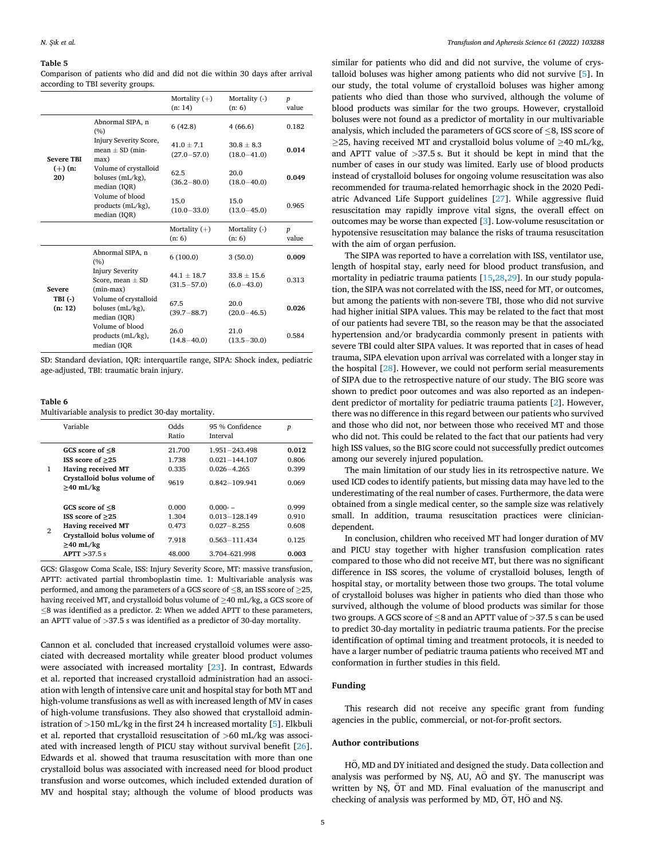#### <span id="page-4-0"></span>**Table 5**

Comparison of patients who did and did not die within 30 days after arrival according to TBI severity groups.

|                                       |                                                               | Mortality $(+)$<br>(n: 14)       | Mortality (-)<br>(n: 6)         | $\boldsymbol{p}$<br>value |
|---------------------------------------|---------------------------------------------------------------|----------------------------------|---------------------------------|---------------------------|
| <b>Severe TBI</b><br>$(+)$ (n:<br>20) | Abnormal SIPA, n<br>(%)                                       | 6(42.8)                          | 4(66.6)                         | 0.182                     |
|                                       | Injury Severity Score,<br>mean $\pm$ SD (min-<br>max)         | $41.0 + 7.1$<br>$(27.0 - 57.0)$  | $30.8 + 8.3$<br>$(18.0 - 41.0)$ | 0.014                     |
|                                       | Volume of crystalloid<br>boluses (mL/kg),<br>median (IOR)     | 62.5<br>$(36.2 - 80.0)$          | 20.0<br>$(18.0 - 40.0)$         | 0.049                     |
|                                       | Volume of blood<br>products (mL/kg),<br>median (IQR)          | 15.0<br>$(10.0 - 33.0)$          | 15.0<br>$(13.0 - 45.0)$         | 0.965                     |
|                                       |                                                               |                                  |                                 |                           |
|                                       |                                                               | Mortality $(+)$<br>(n: 6)        | Mortality (-)<br>(n: 6)         | $\boldsymbol{p}$<br>value |
|                                       | Abnormal SIPA, n<br>(%)                                       | 6(100.0)                         | 3(50.0)                         | 0.009                     |
| <b>Severe</b>                         | <b>Injury Severity</b><br>Score, mean $\pm$ SD<br>$(min-max)$ | $44.1 + 18.7$<br>$(31.5 - 57.0)$ | $33.8 + 15.6$<br>$(6.0 - 43.0)$ | 0.313                     |
| $TBI(-)$<br>(n: 12)                   | Volume of crystalloid<br>boluses (mL/kg),<br>median (IQR)     | 67.5<br>$(39.7 - 88.7)$          | 20.0<br>$(20.0 - 46.5)$         | 0.026                     |

SD: Standard deviation, IQR: interquartile range, SIPA: Shock index, pediatric age-adjusted, TBI: traumatic brain injury.

## **Table 6**

Multivariable analysis to predict 30-day mortality.

|   | Variable                                                                                                                             | Odds<br>Ratio                              | 95 % Confidence<br>Interval                                                             | $\boldsymbol{p}$                          |
|---|--------------------------------------------------------------------------------------------------------------------------------------|--------------------------------------------|-----------------------------------------------------------------------------------------|-------------------------------------------|
| 1 | GCS score of $\leq 8$<br>ISS score of $>25$<br><b>Having received MT</b><br>Crystalloid bolus volume of<br>$\geq$ 40 mL/kg           | 21.700<br>1.738<br>0.335<br>9619           | $1.951 - 243.498$<br>$0.021 - 144.107$<br>$0.026 - 4.265$<br>0.842-109.941              | 0.012<br>0.806<br>0.399<br>0.069          |
| 2 | GCS score of $\leq 8$<br>ISS score of $>25$<br>Having received MT<br>Crystalloid bolus volume of<br>$\geq$ 40 mL/kg<br>APTT > 37.5 s | 0.000<br>1.304<br>0.473<br>7.918<br>48.000 | $0.000 -$<br>$0.013 - 128.149$<br>$0.027 - 8.255$<br>$0.563 - 111.434$<br>3.704-621.998 | 0.999<br>0.910<br>0.608<br>0.125<br>0.003 |

GCS: Glasgow Coma Scale, ISS: Injury Severity Score, MT: massive transfusion, APTT: activated partial thromboplastin time. 1: Multivariable analysis was performed, and among the parameters of a GCS score of  $\leq$ 8, an ISS score of  $\geq$ 25, having received MT, and crystalloid bolus volume of ≥40 mL/kg, a GCS score of ≤8 was identified as a predictor. 2: When we added APTT to these parameters, an APTT value of *>*37.5 s was identified as a predictor of 30-day mortality.

Cannon et al. concluded that increased crystalloid volumes were associated with decreased mortality while greater blood product volumes were associated with increased mortality [[23\]](#page-5-0). In contrast, Edwards et al. reported that increased crystalloid administration had an association with length of intensive care unit and hospital stay for both MT and high-volume transfusions as well as with increased length of MV in cases of high-volume transfusions. They also showed that crystalloid administration of *>*150 mL/kg in the first 24 h increased mortality [[5](#page-5-0)]. Elkbuli et al. reported that crystalloid resuscitation of *>*60 mL/kg was associated with increased length of PICU stay without survival benefit [\[26](#page-5-0)]. Edwards et al. showed that trauma resuscitation with more than one crystalloid bolus was associated with increased need for blood product transfusion and worse outcomes, which included extended duration of MV and hospital stay; although the volume of blood products was similar for patients who did and did not survive, the volume of crystalloid boluses was higher among patients who did not survive [[5](#page-5-0)]. In our study, the total volume of crystalloid boluses was higher among patients who died than those who survived, although the volume of blood products was similar for the two groups. However, crystalloid boluses were not found as a predictor of mortality in our multivariable analysis, which included the parameters of GCS score of ≤8, ISS score of  $\geq$ 25, having received MT and crystalloid bolus volume of  $\geq$ 40 mL/kg, and APTT value of *>*37.5 s. But it should be kept in mind that the number of cases in our study was limited. Early use of blood products instead of crystalloid boluses for ongoing volume resuscitation was also recommended for trauma-related hemorrhagic shock in the 2020 Pediatric Advanced Life Support guidelines [[27\]](#page-5-0). While aggressive fluid resuscitation may rapidly improve vital signs, the overall effect on outcomes may be worse than expected [\[3\]](#page-5-0). Low-volume resuscitation or hypotensive resuscitation may balance the risks of trauma resuscitation with the aim of organ perfusion.

The SIPA was reported to have a correlation with ISS, ventilator use, length of hospital stay, early need for blood product transfusion, and mortality in pediatric trauma patients [\[15,28,29](#page-5-0)]. In our study population, the SIPA was not correlated with the ISS, need for MT, or outcomes, but among the patients with non-severe TBI, those who did not survive had higher initial SIPA values. This may be related to the fact that most of our patients had severe TBI, so the reason may be that the associated hypertension and/or bradycardia commonly present in patients with severe TBI could alter SIPA values. It was reported that in cases of head trauma, SIPA elevation upon arrival was correlated with a longer stay in the hospital [[28\]](#page-5-0). However, we could not perform serial measurements of SIPA due to the retrospective nature of our study. The BIG score was shown to predict poor outcomes and was also reported as an independent predictor of mortality for pediatric trauma patients [\[2\]](#page-5-0). However, there was no difference in this regard between our patients who survived and those who did not, nor between those who received MT and those who did not. This could be related to the fact that our patients had very high ISS values, so the BIG score could not successfully predict outcomes among our severely injured population.

The main limitation of our study lies in its retrospective nature. We used ICD codes to identify patients, but missing data may have led to the underestimating of the real number of cases. Furthermore, the data were obtained from a single medical center, so the sample size was relatively small. In addition, trauma resuscitation practices were cliniciandependent.

In conclusion, children who received MT had longer duration of MV and PICU stay together with higher transfusion complication rates compared to those who did not receive MT, but there was no significant difference in ISS scores, the volume of crystalloid boluses, length of hospital stay, or mortality between those two groups. The total volume of crystalloid boluses was higher in patients who died than those who survived, although the volume of blood products was similar for those two groups. A GCS score of ≤8 and an APTT value of *>*37.5 s can be used to predict 30-day mortality in pediatric trauma patients. For the precise identification of optimal timing and treatment protocols, it is needed to have a larger number of pediatric trauma patients who received MT and conformation in further studies in this field.

## **Funding**

This research did not receive any specific grant from funding agencies in the public, commercial, or not-for-profit sectors.

## **Author contributions**

HO, MD and DY initiated and designed the study. Data collection and analysis was performed by NŞ, AU,  $A\ddot{o}$  and SY. The manuscript was written by NS,  $\ddot{O}T$  and MD. Final evaluation of the manuscript and checking of analysis was performed by MD,  $\ddot{O}$ T, H $\ddot{O}$  and NS.